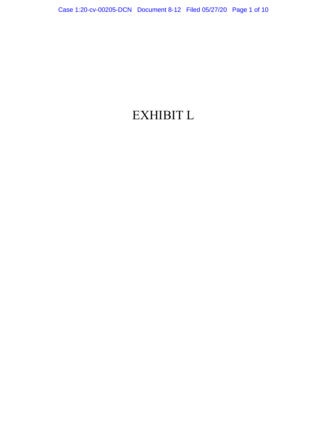# <span id="page-0-1"></span><span id="page-0-0"></span>EXHIBIT L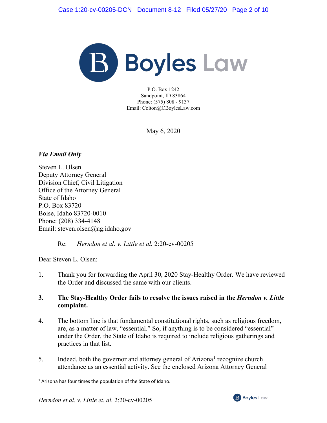

P.O. Box 1242 Sandpoint, ID 83864 Phone: (575) 808 - 9137 Email: Colton@CBoylesLaw.com

May 6, 2020

# *Via Email Only*

Steven L. Olsen Deputy Attorney General Division Chief, Civil Litigation Office of the Attorney General State of Idaho P.O. Box 83720 Boise, Idaho 83720-0010 Phone: (208) 334-4148 Email: steven.olsen@ag.idaho.gov

# Re: *Herndon et al. v. Little et al.* 2:20-cv-00205

Dear Steven L. Olsen:

1. Thank you for forwarding the April 30, 2020 Stay-Healthy Order. We have reviewed the Order and discussed the same with our clients.

# **3. The Stay-Healthy Order fails to resolve the issues raised in the** *Herndon v. Little* **complaint.**

- 4. The bottom line is that fundamental constitutional rights, such as religious freedom, are, as a matter of law, "essential." So, if anything is to be considered "essential" under the Order, the State of Idaho is required to include religious gatherings and practices in that list.
- 5. Indeed, both the governor and attorney general of Arizona<sup>[1](#page-0-0)</sup> recognize church attendance as an essential activity. See the enclosed Arizona Attorney General



<sup>&</sup>lt;sup>1</sup> Arizona has four times the population of the State of Idaho.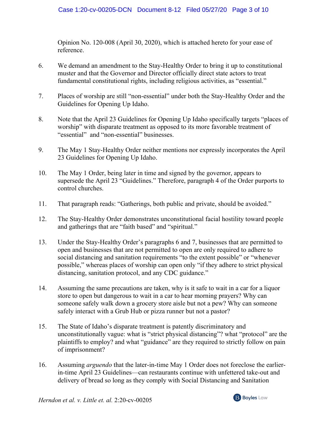Opinion No. 120-008 (April 30, 2020), which is attached hereto for your ease of reference.

- 6. We demand an amendment to the Stay-Healthy Order to bring it up to constitutional muster and that the Governor and Director officially direct state actors to treat fundamental constitutional rights, including religious activities, as "essential."
- 7. Places of worship are still "non-essential" under both the Stay-Healthy Order and the Guidelines for Opening Up Idaho.
- 8. Note that the April 23 Guidelines for Opening Up Idaho specifically targets "places of worship" with disparate treatment as opposed to its more favorable treatment of "essential" and "non-essential" businesses.
- 9. The May 1 Stay-Healthy Order neither mentions nor expressly incorporates the April 23 Guidelines for Opening Up Idaho.
- 10. The May 1 Order, being later in time and signed by the governor, appears to supersede the April 23 "Guidelines." Therefore, paragraph 4 of the Order purports to control churches.
- 11. That paragraph reads: "Gatherings, both public and private, should be avoided."
- 12. The Stay-Healthy Order demonstrates unconstitutional facial hostility toward people and gatherings that are "faith based" and "spiritual."
- 13. Under the Stay-Healthy Order's paragraphs 6 and 7, businesses that are permitted to open and businesses that are not permitted to open are only required to adhere to social distancing and sanitation requirements "to the extent possible" or "whenever possible," whereas places of worship can open only "if they adhere to strict physical distancing, sanitation protocol, and any CDC guidance."
- 14. Assuming the same precautions are taken, why is it safe to wait in a car for a liquor store to open but dangerous to wait in a car to hear morning prayers? Why can someone safely walk down a grocery store aisle but not a pew? Why can someone safely interact with a Grub Hub or pizza runner but not a pastor?
- 15. The State of Idaho's disparate treatment is patently discriminatory and unconstitutionally vague: what is "strict physical distancing"? what "protocol" are the plaintiffs to employ? and what "guidance" are they required to strictly follow on pain of imprisonment?
- 16. Assuming *arguendo* that the later-in-time May 1 Order does not foreclose the earlierin-time April 23 Guidelines—can restaurants continue with unfettered take-out and delivery of bread so long as they comply with Social Distancing and Sanitation

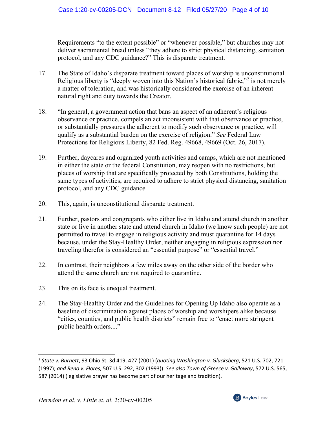Requirements "to the extent possible" or "whenever possible," but churches may not deliver sacramental bread unless "they adhere to strict physical distancing, sanitation protocol, and any CDC guidance?" This is disparate treatment.

- 17. The State of Idaho's disparate treatment toward places of worship is unconstitutional. Religious liberty is "deeply woven into this Nation's historical fabric,"<sup>[2](#page-0-1)</sup> is not merely a matter of toleration, and was historically considered the exercise of an inherent natural right and duty towards the Creator.
- 18. "In general, a government action that bans an aspect of an adherent's religious observance or practice, compels an act inconsistent with that observance or practice, or substantially pressures the adherent to modify such observance or practice, will qualify as a substantial burden on the exercise of religion." *See* Federal Law Protections for Religious Liberty, 82 Fed. Reg. 49668, 49669 (Oct. 26, 2017).
- 19. Further, daycares and organized youth activities and camps, which are not mentioned in either the state or the federal Constitution, may reopen with no restrictions, but places of worship that are specifically protected by both Constitutions, holding the same types of activities, are required to adhere to strict physical distancing, sanitation protocol, and any CDC guidance.
- 20. This, again, is unconstitutional disparate treatment.
- 21. Further, pastors and congregants who either live in Idaho and attend church in another state or live in another state and attend church in Idaho (we know such people) are not permitted to travel to engage in religious activity and must quarantine for 14 days because, under the Stay-Healthy Order, neither engaging in religious expression nor traveling therefor is considered an "essential purpose" or "essential travel."
- 22. In contrast, their neighbors a few miles away on the other side of the border who attend the same church are not required to quarantine.
- 23. This on its face is unequal treatment.
- 24. The Stay-Healthy Order and the Guidelines for Opening Up Idaho also operate as a baseline of discrimination against places of worship and worshipers alike because "cities, counties, and public health districts" remain free to "enact more stringent public health orders...."

<sup>2</sup> *State v. Burnett*, 93 Ohio St. 3d 419, 427 (2001) (*quoting Washington v. Glucksberg*, 521 U.S. 702, 721 (1997); *and Reno v. Flores,* 507 U.S. 292, 302 (1993)). *See also Town of Greece v. Galloway*, 572 U.S. 565, 587 (2014) (legislative prayer has become part of our heritage and tradition).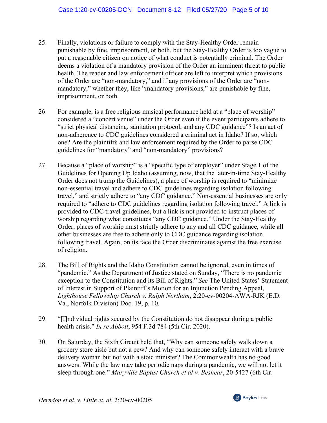- 25. Finally, violations or failure to comply with the Stay-Healthy Order remain punishable by fine, imprisonment, or both, but the Stay-Healthy Order is too vague to put a reasonable citizen on notice of what conduct is potentially criminal. The Order deems a violation of a mandatory provision of the Order an imminent threat to public health. The reader and law enforcement officer are left to interpret which provisions of the Order are "non-mandatory," and if any provisions of the Order are "nonmandatory," whether they, like "mandatory provisions," are punishable by fine, imprisonment, or both.
- 26. For example, is a free religious musical performance held at a "place of worship" considered a "concert venue" under the Order even if the event participants adhere to "strict physical distancing, sanitation protocol, and any CDC guidance"? Is an act of non-adherence to CDC guidelines considered a criminal act in Idaho? If so, which one? Are the plaintiffs and law enforcement required by the Order to parse CDC guidelines for "mandatory" and "non-mandatory" provisions?
- 27. Because a "place of worship" is a "specific type of employer" under Stage 1 of the Guidelines for Opening Up Idaho (assuming, now, that the later-in-time Stay-Healthy Order does not trump the Guidelines), a place of worship is required to "minimize non-essential travel and adhere to CDC guidelines regarding isolation following travel," and strictly adhere to "any CDC guidance." Non-essential businesses are only required to "adhere to CDC guidelines regarding isolation following travel." A link is provided to CDC travel guidelines, but a link is not provided to instruct places of worship regarding what constitutes "any CDC guidance." Under the Stay-Healthy Order, places of worship must strictly adhere to any and all CDC guidance, while all other businesses are free to adhere only to CDC guidance regarding isolation following travel. Again, on its face the Order discriminates against the free exercise of religion.
- 28. The Bill of Rights and the Idaho Constitution cannot be ignored, even in times of "pandemic." As the Department of Justice stated on Sunday, "There is no pandemic exception to the Constitution and its Bill of Rights." *See* The United States' Statement of Interest in Support of Plaintiff's Motion for an Injunction Pending Appeal, *Lighthouse Fellowship Church v. Ralph Northam*, 2:20-cv-00204-AWA-RJK (E.D. Va., Norfolk Division) Doc. 19, p. 10.
- 29. "[I]ndividual rights secured by the Constitution do not disappear during a public health crisis." *In re Abbott*, 954 F.3d 784 (5th Cir. 2020).
- 30. On Saturday, the Sixth Circuit held that, "Why can someone safely walk down a grocery store aisle but not a pew? And why can someone safely interact with a brave delivery woman but not with a stoic minister? The Commonwealth has no good answers. While the law may take periodic naps during a pandemic, we will not let it sleep through one." *Maryville Baptist Church et al v. Beshear*, 20-5427 (6th Cir.

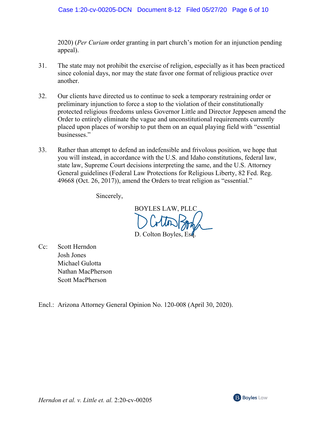2020) (*Per Curiam* order granting in part church's motion for an injunction pending appeal).

- 31. The state may not prohibit the exercise of religion, especially as it has been practiced since colonial days, nor may the state favor one format of religious practice over another.
- 32. Our clients have directed us to continue to seek a temporary restraining order or preliminary injunction to force a stop to the violation of their constitutionally protected religious freedoms unless Governor Little and Director Jeppesen amend the Order to entirely eliminate the vague and unconstitutional requirements currently placed upon places of worship to put them on an equal playing field with "essential businesses."
- 33. Rather than attempt to defend an indefensible and frivolous position, we hope that you will instead, in accordance with the U.S. and Idaho constitutions, federal law, state law, Supreme Court decisions interpreting the same, and the U.S. Attorney General guidelines (Federal Law Protections for Religious Liberty, 82 Fed. Reg. 49668 (Oct. 26, 2017)), amend the Orders to treat religion as "essential."

Sincerely,

BOYLES LAW, PLLC D. Colton Boyles, Est.

- Cc: Scott Herndon Josh Jones Michael Gulotta Nathan MacPherson Scott MacPherson
- Encl.: Arizona Attorney General Opinion No. 120-008 (April 30, 2020).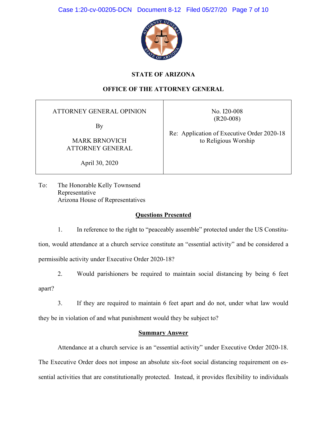

# **STATE OF ARIZONA**

# **OFFICE OF THE ATTORNEY GENERAL**

**ATTORNEY GENERAL OPINION** 

By

**MARK BRNOVICH ATTORNEY GENERAL**  No. I20-008  $(R20-008)$ 

Re: Application of Executive Order 2020-18 to Religious Worship

April 30, 2020

To: The Honorable Kelly Townsend Representative Arizona House of Representatives

# **Questions Presented**

 $1.$ In reference to the right to "peaceably assemble" protected under the US Constitution, would attendance at a church service constitute an "essential activity" and be considered a permissible activity under Executive Order 2020-18?

 $2.$ Would parishioners be required to maintain social distancing by being 6 feet apart?

 $\overline{3}$ . If they are required to maintain 6 feet apart and do not, under what law would

they be in violation of and what punishment would they be subject to?

# **Summary Answer**

Attendance at a church service is an "essential activity" under Executive Order 2020-18. The Executive Order does not impose an absolute six-foot social distancing requirement on essential activities that are constitutionally protected. Instead, it provides flexibility to individuals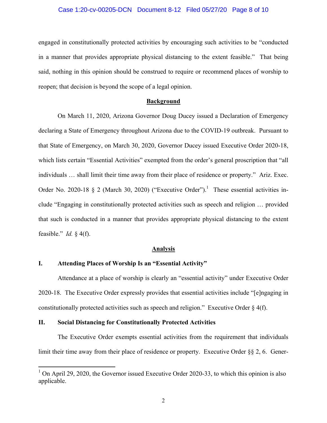#### Case 1:20-cv-00205-DCN Document 8-12 Filed 05/27/20 Page 8 of 10

engaged in constitutionally protected activities by encouraging such activities to be "conducted" in a manner that provides appropriate physical distancing to the extent feasible." That being said, nothing in this opinion should be construed to require or recommend places of worship to reopen; that decision is beyond the scope of a legal opinion.

### **Background**

On March 11, 2020, Arizona Governor Doug Ducey issued a Declaration of Emergency declaring a State of Emergency throughout Arizona due to the COVID-19 outbreak. Pursuant to that State of Emergency, on March 30, 2020, Governor Ducey issued Executive Order 2020-18, which lists certain "Essential Activities" exempted from the order's general proscription that "all individuals ... shall limit their time away from their place of residence or property." Ariz. Exec. Order No. 2020-18 § 2 (March 30, 2020) ("Executive Order").<sup>1</sup> These essential activities include "Engaging in constitutionally protected activities such as speech and religion ... provided that such is conducted in a manner that provides appropriate physical distancing to the extent feasible." *Id.*  $\S$  4(f).

#### **Analysis**

#### I. **Attending Places of Worship Is an "Essential Activity"**

Attendance at a place of worship is clearly an "essential activity" under Executive Order 2020-18. The Executive Order expressly provides that essential activities include "[e]ngaging in constitutionally protected activities such as speech and religion." Executive Order  $\S$  4(f).

#### П. **Social Distancing for Constitutionally Protected Activities**

The Executive Order exempts essential activities from the requirement that individuals limit their time away from their place of residence or property. Executive Order  $\S$ § 2, 6. Gener-

 $1$  On April 29, 2020, the Governor issued Executive Order 2020-33, to which this opinion is also applicable.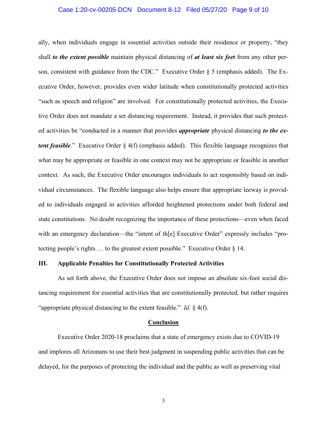#### Case 1:20-cv-00205-DCN Document 8-12 Filed 05/27/20 Page 9 of 10

ally, when individuals engage in essential activities outside their residence or property, "they shall *to the extent possible* maintain physical distancing of *at least six feet* from any other person, consistent with guidance from the CDC." Executive Order  $\S$  5 (emphasis added). The Executive Order, however, provides even wider latitude when constitutionally protected activities "such as speech and religion" are involved. For constitutionally protected activities, the Executive Order does not mandate a set distancing requirement. Instead, it provides that such protected activities be "conducted in a manner that provides *appropriate* physical distancing to the ex*tent feasible*." Executive Order § 4(f) (emphasis added). This flexible language recognizes that what may be appropriate or feasible in one context may not be appropriate or feasible in another context. As such, the Executive Order encourages individuals to act responsibly based on individual circumstances. The flexible language also helps ensure that appropriate leeway is provided to individuals engaged in activities afforded heightened protections under both federal and state constitutions. No doubt recognizing the importance of these protections—even when faced with an emergency declaration—the "intent of th[e] Executive Order" expressly includes "protecting people's rights  $\ldots$  to the greatest extent possible." Executive Order § 14.

## **III.** Applicable Penalties for Constitutionally Protected Activities

As set forth above, the Executive Order does not impose an absolute six-foot social distancing requirement for essential activities that are constitutionally protected, but rather requires "appropriate physical distancing to the extent feasible." *Id.*  $\frac{1}{2}$  4(f).

#### **Conclusion**

Executive Order 2020-18 proclaims that a state of emergency exists due to COVID-19 and implores all Arizonans to use their best judgment in suspending public activities that can be delayed, for the purposes of protecting the individual and the public as well as preserving vital

 $\mathfrak{Z}$